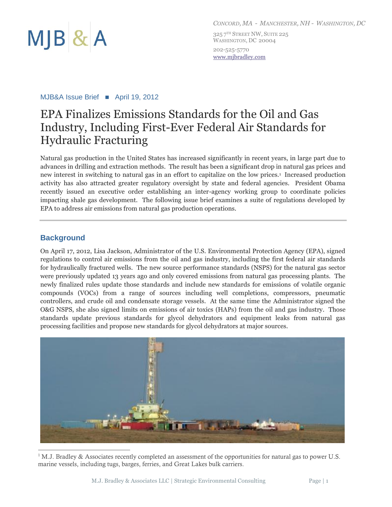

325 7<sup>th</sup> Street NW, Suite 225 WASHINGTON, DC 20004 202-525-5770 www.mjbradley.com

#### MJB&A Issue Brief ■ April 19, 2012

# EPA Finalizes Emissions Standards for the Oil and Gas Industry, Including First-Ever Federal Air Standards for Hydraulic Fracturing

Natural gas production in the United States has increased significantly in recent years, in large part due to advances in drilling and extraction methods. The result has been a significant drop in natural gas prices and new interest in switching to natural gas in an effort to capitalize on the low prices.<sup>1</sup> Increased production activity has also attracted greater regulatory oversight by state and federal agencies. President Obama recently issued an executive order establishing an inter-agency working group to coordinate policies impacting shale gas development. The following issue brief examines a suite of regulations developed by EPA to address air emissions from natural gas production operations.

### **Background**

On April 17, 2012, Lisa Jackson, Administrator of the U.S. Environmental Protection Agency (EPA), signed regulations to control air emissions from the oil and gas industry, including the first federal air standards for hydraulically fractured wells. The new source performance standards (NSPS) for the natural gas sector were previously updated 13 years ago and only covered emissions from natural gas processing plants. The newly finalized rules update those standards and include new standards for emissions of volatile organic compounds (VOCs) from a range of sources including well completions, compressors, pneumatic controllers, and crude oil and condensate storage vessels. At the same time the Administrator signed the O&G NSPS, she also signed limits on emissions of air toxics (HAPs) from the oil and gas industry. Those standards update previous standards for glycol dehydrators and equipment leaks from natural gas processing facilities and propose new standards for glycol dehydrators at major sources.



<sup>1</sup> M.J. Bradley & Associates recently completed an assessment of the opportunities for natural gas to power U.S. marine vessels, including tugs, barges, ferries, and Great Lakes bulk carriers.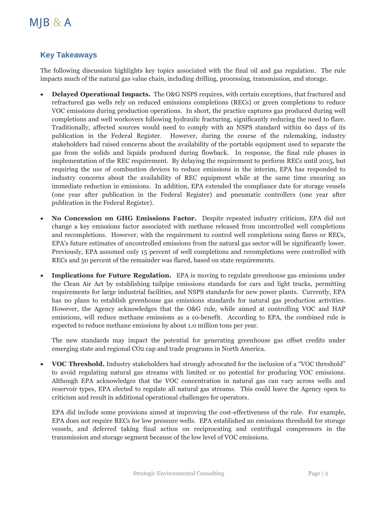

## **Key Takeaways**

The following discussion highlights key topics associated with the final oil and gas regulation. The rule impacts much of the natural gas value chain, including drilling, processing, transmission, and storage.

- **Delayed Operational Impacts.** The O&G NSPS requires, with certain exceptions, that fractured and refractured gas wells rely on reduced emissions completions (RECs) or green completions to reduce VOC emissions during production operations. In short, the practice captures gas produced during well completions and well workovers following hydraulic fracturing, significantly reducing the need to flare. Traditionally, affected sources would need to comply with an NSPS standard within 60 days of its publication in the Federal Register. However, during the course of the rulemaking, industry stakeholders had raised concerns about the availability of the portable equipment used to separate the gas from the solids and liquids produced during flowback. In response, the final rule phases in implementation of the REC requirement. By delaying the requirement to perform RECs until 2015, but requiring the use of combustion devices to reduce emissions in the interim, EPA has responded to industry concerns about the availability of REC equipment while at the same time ensuring an immediate reduction in emissions. In addition, EPA extended the compliance date for storage vessels (one year after publication in the Federal Register) and pneumatic controllers (one year after publication in the Federal Register).
- **No Concession on GHG Emissions Factor.** Despite repeated industry criticism, EPA did not change a key emissions factor associated with methane released from uncontrolled well completions and recompletions. However, with the requirement to control well completions using flares or RECs, EPA's future estimates of uncontrolled emissions from the natural gas sector will be significantly lower. Previously, EPA assumed only 15 percent of well completions and recompletions were controlled with RECs and 50 percent of the remainder was flared, based on state requirements.
- **Implications for Future Regulation.** EPA is moving to regulate greenhouse gas emissions under the Clean Air Act by establishing tailpipe emissions standards for cars and light trucks, permitting requirements for large industrial facilities, and NSPS standards for new power plants. Currently, EPA has no plans to establish greenhouse gas emissions standards for natural gas production activities. However, the Agency acknowledges that the O&G rule, while aimed at controlling VOC and HAP emissions, will reduce methane emissions as a co-benefit. According to EPA, the combined rule is expected to reduce methane emissions by about 1.0 million tons per year.

The new standards may impact the potential for generating greenhouse gas offset credits under emerging state and regional CO2 cap and trade programs in North America.

 **VOC Threshold.** Industry stakeholders had strongly advocated for the inclusion of a "VOC threshold" to avoid regulating natural gas streams with limited or no potential for producing VOC emissions. Although EPA acknowledges that the VOC concentration in natural gas can vary across wells and reservoir types, EPA elected to regulate all natural gas streams. This could leave the Agency open to criticism and result in additional operational challenges for operators.

EPA did include some provisions aimed at improving the cost-effectiveness of the rule. For example, EPA does not require RECs for low pressure wells. EPA established an emissions threshold for storage vessels, and deferred taking final action on reciprocating and centrifugal compressors in the transmission and storage segment because of the low level of VOC emissions.